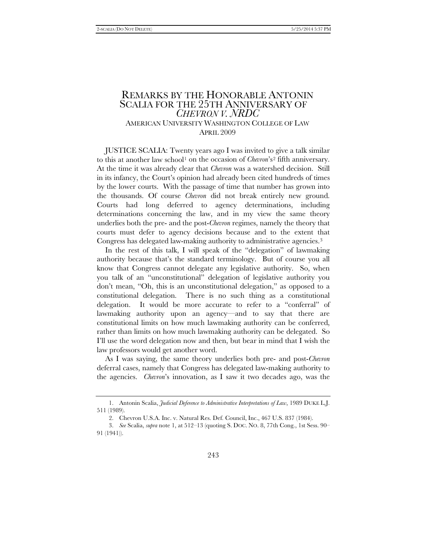# REMARKS BY THE HONORABLE ANTONIN SCALIA FOR THE 25TH ANNIVERSARY OF *CHEVRON V. NRDC* AMERICAN UNIVERSITY WASHINGTON COLLEGE OF LAW APRIL 2009

JUSTICE SCALIA: Twenty years ago I was invited to give a talk similar to this at another law school[1](#page-0-0) on the occasion of *Chevron*'s[2](#page-0-1) fifth anniversary. At the time it was already clear that *Chevron* was a watershed decision. Still in its infancy, the Court's opinion had already been cited hundreds of times by the lower courts. With the passage of time that number has grown into the thousands. Of course *Chevron* did not break entirely new ground. Courts had long deferred to agency determinations, including determinations concerning the law, and in my view the same theory underlies both the pre- and the post-*Chevron* regimes, namely the theory that courts must defer to agency decisions because and to the extent that Congress has delegated law-making authority to administrative agencies.<sup>[3](#page-0-2)</sup>

In the rest of this talk, I will speak of the "delegation" of lawmaking authority because that's the standard terminology. But of course you all know that Congress cannot delegate any legislative authority. So, when you talk of an "unconstitutional" delegation of legislative authority you don't mean, "Oh, this is an unconstitutional delegation," as opposed to a constitutional delegation. There is no such thing as a constitutional delegation. It would be more accurate to refer to a "conferral" of lawmaking authority upon an agency—and to say that there are constitutional limits on how much lawmaking authority can be conferred, rather than limits on how much lawmaking authority can be delegated. So I'll use the word delegation now and then, but bear in mind that I wish the law professors would get another word.

As I was saying, the same theory underlies both pre- and post-*Chevron* deferral cases, namely that Congress has delegated law-making authority to the agencies. *Chevron*'s innovation, as I saw it two decades ago, was the

<span id="page-0-0"></span><sup>1.</sup> Antonin Scalia, *Judicial Deference to Administrative Interpretations of Law*, 1989 DUKE L.J. 511 (1989).

<sup>2.</sup> Chevron U.S.A. Inc. v. Natural Res. Def. Council, Inc., 467 U.S. 837 (1984).

<span id="page-0-2"></span><span id="page-0-1"></span><sup>3.</sup> *See* Scalia, *supra* note 1, at 512–13 (quoting S. DOC. NO. 8, 77th Cong., 1st Sess. 90– 91 (1941)).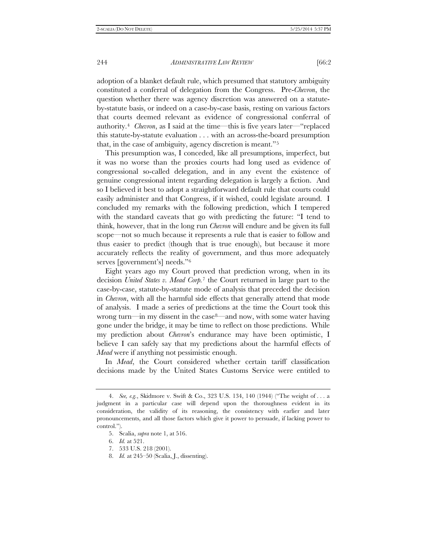adoption of a blanket default rule, which presumed that statutory ambiguity constituted a conferral of delegation from the Congress. Pre-*Chevron*, the question whether there was agency discretion was answered on a statuteby-statute basis, or indeed on a case-by-case basis, resting on various factors that courts deemed relevant as evidence of congressional conferral of authority.[4](#page-1-0) *Chevron*, as I said at the time—this is five years later—"replaced this statute-by-statute evaluation . . . with an across-the-board presumption that, in the case of ambiguity, agency discretion is meant."[5](#page-1-1)

This presumption was, I conceded, like all presumptions, imperfect, but it was no worse than the proxies courts had long used as evidence of congressional so-called delegation, and in any event the existence of genuine congressional intent regarding delegation is largely a fiction. And so I believed it best to adopt a straightforward default rule that courts could easily administer and that Congress, if it wished, could legislate around. I concluded my remarks with the following prediction, which I tempered with the standard caveats that go with predicting the future: "I tend to think, however, that in the long run *Chevron* will endure and be given its full scope—not so much because it represents a rule that is easier to follow and thus easier to predict (though that is true enough), but because it more accurately reflects the reality of government, and thus more adequately serves [government's] needs."[6](#page-1-2)

Eight years ago my Court proved that prediction wrong, when in its decision *United States v. Mead Corp.*[7](#page-1-3) the Court returned in large part to the case-by-case, statute-by-statute mode of analysis that preceded the decision in *Chevron*, with all the harmful side effects that generally attend that mode of analysis. I made a series of predictions at the time the Court took this wrong turn—in my dissent in the case<sup>[8](#page-1-4)—</sup>and now, with some water having gone under the bridge, it may be time to reflect on those predictions. While my prediction about *Chevron*'s endurance may have been optimistic, I believe I can safely say that my predictions about the harmful effects of *Mead* were if anything not pessimistic enough.

In *Mead*, the Court considered whether certain tariff classification decisions made by the United States Customs Service were entitled to

<span id="page-1-2"></span><span id="page-1-1"></span><span id="page-1-0"></span><sup>4.</sup> *See, e.g.*, Skidmore v. Swift & Co., 323 U.S. 134, 140 (1944) ("The weight of . . . a judgment in a particular case will depend upon the thoroughness evident in its consideration, the validity of its reasoning, the consistency with earlier and later pronouncements, and all those factors which give it power to persuade, if lacking power to control.").

<sup>5.</sup> Scalia, *supra* note 1, at 516.

<sup>6.</sup> *Id.* at 521.

<span id="page-1-3"></span><sup>7.</sup> 533 U.S. 218 (2001).

<span id="page-1-4"></span><sup>8.</sup> *Id.* at 245–50 (Scalia, J., dissenting).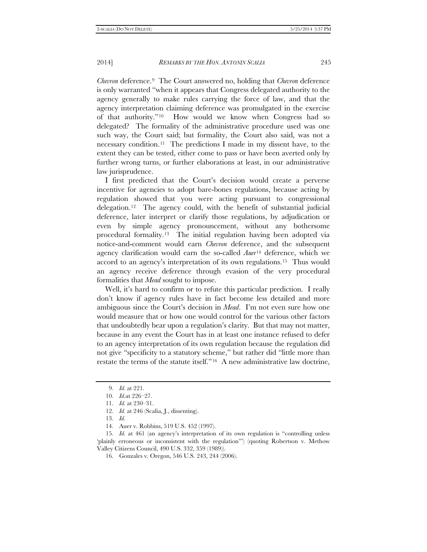*Chevron* deference.[9](#page-2-0) The Court answered no, holding that *Chevron* deference is only warranted "when it appears that Congress delegated authority to the agency generally to make rules carrying the force of law, and that the agency interpretation claiming deference was promulgated in the exercise of that authority."[10](#page-2-1) How would we know when Congress had so delegated? The formality of the administrative procedure used was one such way, the Court said; but formality, the Court also said, was not a necessary condition.[11](#page-2-2) The predictions I made in my dissent have, to the extent they can be tested, either come to pass or have been averted only by further wrong turns, or further elaborations at least, in our administrative law jurisprudence.

I first predicted that the Court's decision would create a perverse incentive for agencies to adopt bare-bones regulations, because acting by regulation showed that you were acting pursuant to congressional delegation.[12](#page-2-3) The agency could, with the benefit of substantial judicial deference, later interpret or clarify those regulations, by adjudication or even by simple agency pronouncement, without any bothersome procedural formality.[13](#page-2-4) The initial regulation having been adopted via notice-and-comment would earn *Chevron* deference, and the subsequent agency clarification would earn the so-called *Auer*[14](#page-2-5) deference, which we accord to an agency's interpretation of its own regulations.[15](#page-2-6) Thus would an agency receive deference through evasion of the very procedural formalities that *Mead* sought to impose.

Well, it's hard to confirm or to refute this particular prediction. I really don't know if agency rules have in fact become less detailed and more ambiguous since the Court's decision in *Mead*. I'm not even sure how one would measure that or how one would control for the various other factors that undoubtedly bear upon a regulation's clarity. But that may not matter, because in any event the Court has in at least one instance refused to defer to an agency interpretation of its own regulation because the regulation did not give "specificity to a statutory scheme," but rather did "little more than restate the terms of the statute itself."[16](#page-2-7) A new administrative law doctrine,

<sup>9.</sup> *Id.* at 221.

<span id="page-2-0"></span><sup>10.</sup> *Id.*at 226–27.

<sup>11.</sup> *Id.* at 230–31.

<sup>12.</sup> *Id.* at 246 (Scalia, J., dissenting).

<sup>13.</sup> *Id.*

<sup>14.</sup> Auer v. Robbins, 519 U.S. 452 (1997).

<span id="page-2-7"></span><span id="page-2-6"></span><span id="page-2-5"></span><span id="page-2-4"></span><span id="page-2-3"></span><span id="page-2-2"></span><span id="page-2-1"></span><sup>15.</sup> *Id.* at 461 (an agency's interpretation of its own regulation is "controlling unless 'plainly erroneous or inconsistent with the regulation'") (quoting Robertson v. Methow Valley Citizens Council, 490 U.S. 332, 359 (1989)).

<sup>16.</sup> Gonzales v. Oregon, 546 U.S. 243, 244 (2006).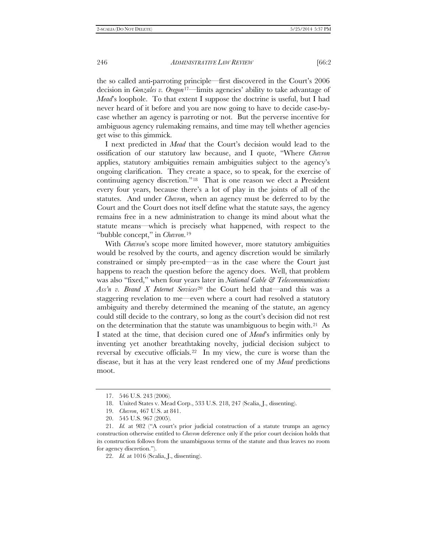the so called anti-parroting principle—first discovered in the Court's 2006 decision in *Gonzales v. Oregon*[17—](#page-3-0)limits agencies' ability to take advantage of *Mead*'s loophole. To that extent I suppose the doctrine is useful, but I had never heard of it before and you are now going to have to decide case-bycase whether an agency is parroting or not. But the perverse incentive for ambiguous agency rulemaking remains, and time may tell whether agencies get wise to this gimmick.

I next predicted in *Mead* that the Court's decision would lead to the ossification of our statutory law because, and I quote, "Where *Chevron* applies, statutory ambiguities remain ambiguities subject to the agency's ongoing clarification. They create a space, so to speak, for the exercise of continuing agency discretion."[18](#page-3-1) That is one reason we elect a President every four years, because there's a lot of play in the joints of all of the statutes. And under *Chevron*, when an agency must be deferred to by the Court and the Court does not itself define what the statute says, the agency remains free in a new administration to change its mind about what the statute means—which is precisely what happened, with respect to the "bubble concept," in *Chevron*.[19](#page-3-2)

With *Chevron*'s scope more limited however, more statutory ambiguities would be resolved by the courts, and agency discretion would be similarly constrained or simply pre-empted—as in the case where the Court just happens to reach the question before the agency does. Well, that problem was also "fixed," when four years later in *National Cable & Telecommunications Ass'n v. Brand X Internet Services*[20](#page-3-3) the Court held that—and this was a staggering revelation to me—even where a court had resolved a statutory ambiguity and thereby determined the meaning of the statute, an agency could still decide to the contrary, so long as the court's decision did not rest on the determination that the statute was unambiguous to begin with.[21](#page-3-4) As I stated at the time, that decision cured one of *Mead*'s infirmities only by inventing yet another breathtaking novelty, judicial decision subject to reversal by executive officials.[22](#page-3-5) In my view, the cure is worse than the disease, but it has at the very least rendered one of my *Mead* predictions moot.

<sup>17.</sup> 546 U.S. 243 (2006).

<sup>18.</sup> United States v. Mead Corp., 533 U.S. 218, 247 (Scalia, J., dissenting).

<sup>19.</sup> *Chevron*, 467 U.S. at 841.

<sup>20.</sup> 545 U.S. 967 (2005).

<span id="page-3-5"></span><span id="page-3-4"></span><span id="page-3-3"></span><span id="page-3-2"></span><span id="page-3-1"></span><span id="page-3-0"></span><sup>21.</sup> *Id.* at 982 ("A court's prior judicial construction of a statute trumps an agency construction otherwise entitled to *Chevron* deference only if the prior court decision holds that its construction follows from the unambiguous terms of the statute and thus leaves no room for agency discretion.").

<sup>22.</sup> *Id.* at 1016 (Scalia, J., dissenting).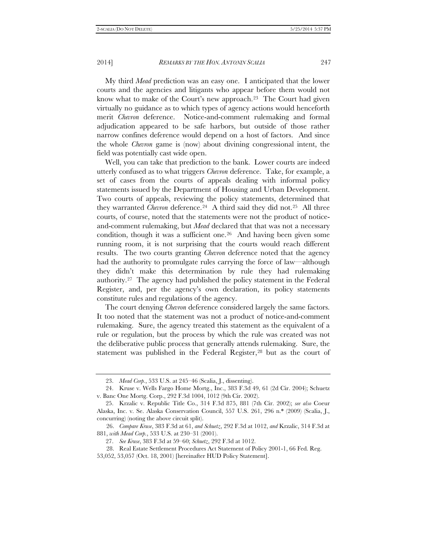My third *Mead* prediction was an easy one. I anticipated that the lower courts and the agencies and litigants who appear before them would not know what to make of the Court's new approach.<sup>[23](#page-4-0)</sup> The Court had given virtually no guidance as to which types of agency actions would henceforth merit *Chevron* deference. Notice-and-comment rulemaking and formal adjudication appeared to be safe harbors, but outside of those rather narrow confines deference would depend on a host of factors. And since the whole *Chevron* game is (now) about divining congressional intent, the field was potentially cast wide open.

Well, you can take that prediction to the bank. Lower courts are indeed utterly confused as to what triggers *Chevron* deference. Take, for example, a set of cases from the courts of appeals dealing with informal policy statements issued by the Department of Housing and Urban Development. Two courts of appeals, reviewing the policy statements, determined that they warranted *Chevron* deference.[24](#page-4-1) A third said they did not.[25](#page-4-2) All three courts, of course, noted that the statements were not the product of noticeand-comment rulemaking, but *Mead* declared that that was not a necessary condition, though it was a sufficient one.<sup>[26](#page-4-3)</sup> And having been given some running room, it is not surprising that the courts would reach different results. The two courts granting *Chevron* deference noted that the agency had the authority to promulgate rules carrying the force of law—although they didn't make this determination by rule they had rulemaking authority.[27](#page-4-4) The agency had published the policy statement in the Federal Register, and, per the agency's own declaration, its policy statements constitute rules and regulations of the agency.

The court denying *Chevron* deference considered largely the same factors. It too noted that the statement was not a product of notice-and-comment rulemaking. Sure, the agency treated this statement as the equivalent of a rule or regulation, but the process by which the rule was created was not the deliberative public process that generally attends rulemaking. Sure, the statement was published in the Federal Register,<sup>[28](#page-4-5)</sup> but as the court of

<span id="page-4-6"></span><sup>23.</sup> *Mead Corp.*, 533 U.S. at 245–46 (Scalia, J., dissenting).

<span id="page-4-1"></span><span id="page-4-0"></span><sup>24.</sup> Kruse v. Wells Fargo Home Mortg., Inc., 383 F.3d 49, 61 (2d Cir. 2004); Schuetz v. Banc One Mortg. Corp., 292 F.3d 1004, 1012 (9th Cir. 2002).

<span id="page-4-2"></span><sup>25.</sup> Krzalic v. Republic Title Co., 314 F.3d 875, 881 (7th Cir. 2002); *see also* Coeur Alaska, Inc. v. Se. Alaska Conservation Council, 557 U.S. 261, 296 n.\* (2009) (Scalia, J., concurring) (noting the above circuit split).

<span id="page-4-3"></span><sup>26.</sup> *Compare Kruse*, 383 F.3d at 61, *and Schuetz*, 292 F.3d at 1012, *and* Krzalic, 314 F.3d at 881, *with Mead Corp.*, 533 U.S. at 230–31 (2001).

<sup>27.</sup> *See Kruse*, 383 F.3d at 59–60; *Schuetz*, 292 F.3d at 1012.

<span id="page-4-5"></span><span id="page-4-4"></span><sup>28.</sup> Real Estate Settlement Procedures Act Statement of Policy 2001-1, 66 Fed. Reg. 53,052, 53,057 (Oct. 18, 2001) [hereinafter HUD Policy Statement].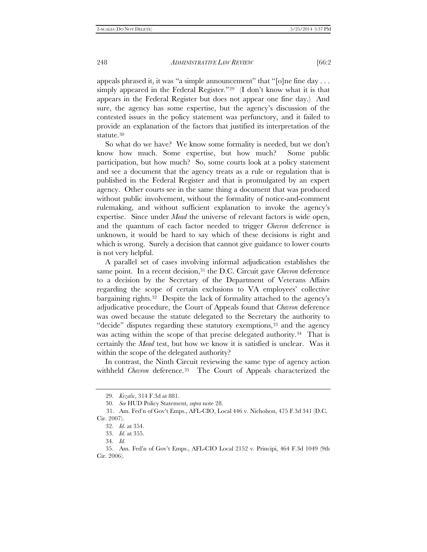appeals phrased it, it was "a simple announcement" that " $[o]$ ne fine day ... simply appeared in the Federal Register."[29](#page-5-0) (I don't know what it is that appears in the Federal Register but does not appear one fine day.) And sure, the agency has some expertise, but the agency's discussion of the contested issues in the policy statement was perfunctory, and it failed to provide an explanation of the factors that justified its interpretation of the statute.[30](#page-5-1)

So what do we have? We know some formality is needed, but we don't know how much. Some expertise, but how much? Some public participation, but how much? So, some courts look at a policy statement and see a document that the agency treats as a rule or regulation that is published in the Federal Register and that is promulgated by an expert agency. Other courts see in the same thing a document that was produced without public involvement, without the formality of notice-and-comment rulemaking, and without sufficient explanation to invoke the agency's expertise. Since under *Mead* the universe of relevant factors is wide open, and the quantum of each factor needed to trigger *Chevron* deference is unknown, it would be hard to say which of these decisions is right and which is wrong. Surely a decision that cannot give guidance to lower courts is not very helpful.

A parallel set of cases involving informal adjudication establishes the same point. In a recent decision,<sup>31</sup> the D.C. Circuit gave *Chevron* deference to a decision by the Secretary of the Department of Veterans Affairs regarding the scope of certain exclusions to VA employees' collective bargaining rights.[32](#page-5-3) Despite the lack of formality attached to the agency's adjudicative procedure, the Court of Appeals found that *Chevron* deference was owed because the statute delegated to the Secretary the authority to "decide" disputes regarding these statutory exemptions,<sup>[33](#page-5-4)</sup> and the agency was acting within the scope of that precise delegated authority.<sup>34</sup> That is certainly the *Mead* test, but how we know it is satisfied is unclear. Was it within the scope of the delegated authority?

In contrast, the Ninth Circuit reviewing the same type of agency action withheld *Chevron* deference.[35](#page-5-6) The Court of Appeals characterized the

<sup>29.</sup> *Krzalic*, 314 F.3d at 881.

<sup>30.</sup> *See* HUD Policy Statement, *supra* note [28.](#page-4-6)

<span id="page-5-3"></span><span id="page-5-2"></span><span id="page-5-1"></span><span id="page-5-0"></span><sup>31.</sup> Am. Fed'n of Gov't Emps., AFL-CIO, Local 446 v. Nicholson, 475 F.3d 341 (D.C. Cir. 2007).

<sup>32.</sup> *Id.* at 354.

<sup>33.</sup> *Id.* at 355.

<sup>34.</sup> *Id.*

<span id="page-5-6"></span><span id="page-5-5"></span><span id="page-5-4"></span><sup>35.</sup> Am. Fed'n of Gov't Emps., AFL-CIO Local 2152 v. Principi, 464 F.3d 1049 (9th Cir. 2006).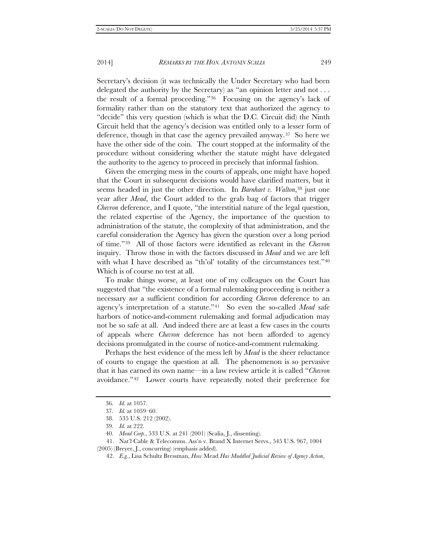Secretary's decision (it was technically the Under Secretary who had been delegated the authority by the Secretary) as "an opinion letter and not . . . the result of a formal proceeding."[36](#page-6-0) Focusing on the agency's lack of formality rather than on the statutory text that authorized the agency to "decide" this very question (which is what the D.C. Circuit did) the Ninth Circuit held that the agency's decision was entitled only to a lesser form of deference, though in that case the agency prevailed anyway.[37](#page-6-1) So here we have the other side of the coin. The court stopped at the informality of the procedure without considering whether the statute might have delegated the authority to the agency to proceed in precisely that informal fashion.

Given the emerging mess in the courts of appeals, one might have hoped that the Court in subsequent decisions would have clarified matters, but it seems headed in just the other direction. In *Barnhart v. Walton*,[38](#page-6-2) just one year after *Mead*, the Court added to the grab bag of factors that trigger *Chevron* deference, and I quote, "the interstitial nature of the legal question, the related expertise of the Agency, the importance of the question to administration of the statute, the complexity of that administration, and the careful consideration the Agency has given the question over a long period of time."[39](#page-6-3) All of those factors were identified as relevant in the *Chevron* inquiry. Throw those in with the factors discussed in *Mead* and we are left with what I have described as "th'ol' totality of the circumstances test."<sup>40</sup> Which is of course no test at all.

To make things worse, at least one of my colleagues on the Court has suggested that "the existence of a formal rulemaking proceeding is neither a necessary *nor* a sufficient condition for according *Chevron* deference to an agency's interpretation of a statute."[41](#page-6-5) So even the so-called *Mead* safe harbors of notice-and-comment rulemaking and formal adjudication may not be so safe at all. And indeed there are at least a few cases in the courts of appeals where *Chevron* deference has not been afforded to agency decisions promulgated in the course of notice-and-comment rulemaking.

Perhaps the best evidence of the mess left by *Mead* is the sheer reluctance of courts to engage the question at all. The phenomenon is so pervasive that it has earned its own name—in a law review article it is called "*Chevron* avoidance."[42](#page-6-6) Lower courts have repeatedly noted their preference for

<sup>36.</sup> *Id.* at 1057.

<sup>37.</sup> *Id.* at 1059–60.

<sup>38.</sup> 535 U.S. 212 (2002).

<sup>39.</sup> *Id.* at 222.

<sup>40.</sup> *Mead Corp.*, 533 U.S. at 241 (2001) (Scalia, J., dissenting).

<span id="page-6-6"></span><span id="page-6-5"></span><span id="page-6-4"></span><span id="page-6-3"></span><span id="page-6-2"></span><span id="page-6-1"></span><span id="page-6-0"></span><sup>41.</sup> Nat'l Cable & Telecomms. Ass'n v. Brand X Internet Servs., 545 U.S. 967, 1004 (2005) (Breyer, J., concurring) (emphasis added).

<sup>42.</sup> *E.g.*, Lisa Schultz Bressman, *How* Mead *Has Muddled Judicial Review of Agency Action*,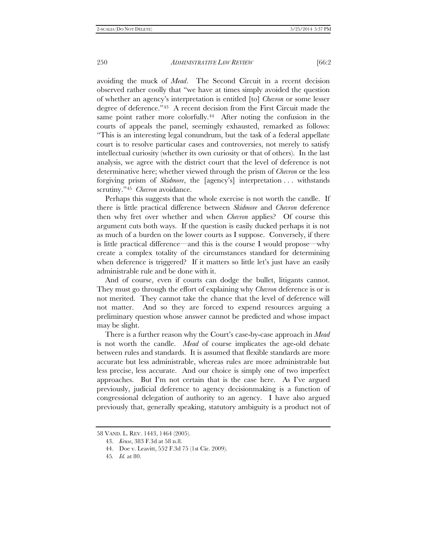avoiding the muck of *Mead*. The Second Circuit in a recent decision observed rather coolly that "we have at times simply avoided the question of whether an agency's interpretation is entitled [to] *Chevron* or some lesser degree of deference."[43](#page-7-0) A recent decision from the First Circuit made the same point rather more colorfully.<sup>[44](#page-7-1)</sup> After noting the confusion in the courts of appeals the panel, seemingly exhausted, remarked as follows: "This is an interesting legal conundrum, but the task of a federal appellate court is to resolve particular cases and controversies, not merely to satisfy intellectual curiosity (whether its own curiosity or that of others). In the last analysis, we agree with the district court that the level of deference is not determinative here; whether viewed through the prism of *Chevron* or the less forgiving prism of *Skidmore*, the [agency's] interpretation . . . withstands scrutiny."[45](#page-7-2) *Chevron* avoidance.

Perhaps this suggests that the whole exercise is not worth the candle. If there is little practical difference between *Skidmore* and *Chevron* deference then why fret over whether and when *Chevron* applies? Of course this argument cuts both ways. If the question is easily ducked perhaps it is not as much of a burden on the lower courts as I suppose. Conversely, if there is little practical difference—and this is the course I would propose—why create a complex totality of the circumstances standard for determining when deference is triggered? If it matters so little let's just have an easily administrable rule and be done with it.

And of course, even if courts can dodge the bullet, litigants cannot. They must go through the effort of explaining why *Chevron* deference is or is not merited. They cannot take the chance that the level of deference will not matter. And so they are forced to expend resources arguing a preliminary question whose answer cannot be predicted and whose impact may be slight.

There is a further reason why the Court's case-by-case approach in *Mead* is not worth the candle. *Mead* of course implicates the age-old debate between rules and standards. It is assumed that flexible standards are more accurate but less administrable, whereas rules are more administrable but less precise, less accurate. And our choice is simply one of two imperfect approaches. But I'm not certain that is the case here. As I've argued previously, judicial deference to agency decisionmaking is a function of congressional delegation of authority to an agency. I have also argued previously that, generally speaking, statutory ambiguity is a product not of

<span id="page-7-2"></span><span id="page-7-1"></span><span id="page-7-0"></span><sup>58</sup> VAND. L. REV. 1443, 1464 (2005).

<sup>43.</sup> *Kruse*, 383 F.3d at 58 n.8.

<sup>44.</sup> Doe v. Leavitt, 552 F.3d 75 (1st Cir. 2009).

<sup>45</sup>*. Id.* at 80.